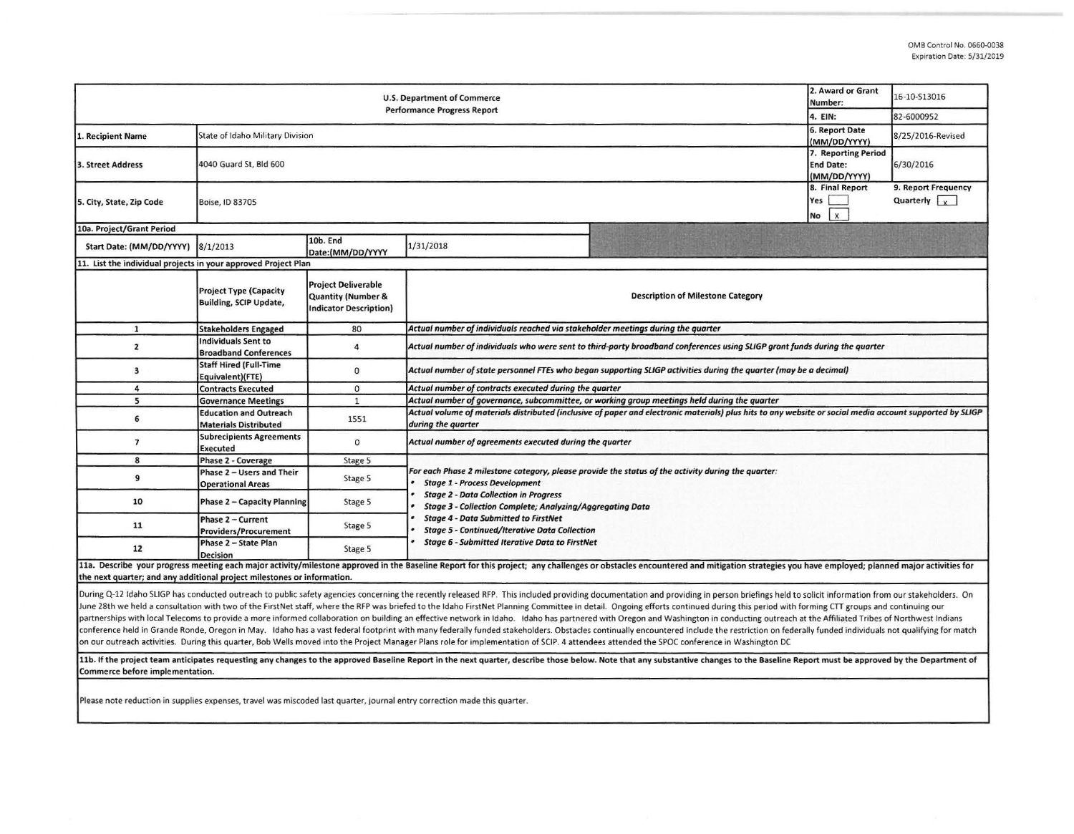| <b>U.S. Department of Commerce</b><br><b>Performance Progress Report</b> |                                                                |                                                                                       |                                                                                                                                                                                                                                                                                                                                                                                                                                |                                                                                                                                                                                                                                                                                                                                                                                                                                                                                                                                                      | 2. Award or Grant<br>Number:<br>4. EIN:                 | 16-10-S13016                                |  |  |  |
|--------------------------------------------------------------------------|----------------------------------------------------------------|---------------------------------------------------------------------------------------|--------------------------------------------------------------------------------------------------------------------------------------------------------------------------------------------------------------------------------------------------------------------------------------------------------------------------------------------------------------------------------------------------------------------------------|------------------------------------------------------------------------------------------------------------------------------------------------------------------------------------------------------------------------------------------------------------------------------------------------------------------------------------------------------------------------------------------------------------------------------------------------------------------------------------------------------------------------------------------------------|---------------------------------------------------------|---------------------------------------------|--|--|--|
|                                                                          |                                                                |                                                                                       |                                                                                                                                                                                                                                                                                                                                                                                                                                |                                                                                                                                                                                                                                                                                                                                                                                                                                                                                                                                                      |                                                         | 82-6000952                                  |  |  |  |
| Recipient Name                                                           | 6. Report Date<br>State of Idaho Military Division             |                                                                                       |                                                                                                                                                                                                                                                                                                                                                                                                                                |                                                                                                                                                                                                                                                                                                                                                                                                                                                                                                                                                      |                                                         | 8/25/2016-Revised                           |  |  |  |
| 3. Street Address                                                        | 4040 Guard St, Bld 600                                         |                                                                                       |                                                                                                                                                                                                                                                                                                                                                                                                                                |                                                                                                                                                                                                                                                                                                                                                                                                                                                                                                                                                      | 7. Reporting Period<br><b>End Date:</b><br>(MM/DD/YYYY) | 6/30/2016                                   |  |  |  |
| 5. City, State, Zip Code                                                 | Boise, ID 83705                                                |                                                                                       |                                                                                                                                                                                                                                                                                                                                                                                                                                |                                                                                                                                                                                                                                                                                                                                                                                                                                                                                                                                                      | 8. Final Report<br>Yes<br>X<br>No                       | 9. Report Frequency<br>Quarterly $\sqrt{x}$ |  |  |  |
| 10a. Project/Grant Period                                                |                                                                |                                                                                       |                                                                                                                                                                                                                                                                                                                                                                                                                                |                                                                                                                                                                                                                                                                                                                                                                                                                                                                                                                                                      |                                                         |                                             |  |  |  |
| Start Date: (MM/DD/YYYY)                                                 | 8/1/2013                                                       | 10b. End<br>Date:(MM/DD/YYYY                                                          | 1/31/2018                                                                                                                                                                                                                                                                                                                                                                                                                      |                                                                                                                                                                                                                                                                                                                                                                                                                                                                                                                                                      |                                                         |                                             |  |  |  |
| 11. List the individual projects in your approved Project Plan           |                                                                |                                                                                       |                                                                                                                                                                                                                                                                                                                                                                                                                                |                                                                                                                                                                                                                                                                                                                                                                                                                                                                                                                                                      |                                                         |                                             |  |  |  |
|                                                                          | <b>Project Type (Capacity</b><br><b>Building, SCIP Update,</b> | <b>Project Deliverable</b><br><b>Quantity (Number &amp;</b><br>Indicator Description) | <b>Description of Milestone Category</b>                                                                                                                                                                                                                                                                                                                                                                                       |                                                                                                                                                                                                                                                                                                                                                                                                                                                                                                                                                      |                                                         |                                             |  |  |  |
| $\mathbf{1}$                                                             | <b>Stakeholders Engaged</b>                                    | 80                                                                                    | Actual number of individuals reached via stakeholder meetings during the quarter                                                                                                                                                                                                                                                                                                                                               |                                                                                                                                                                                                                                                                                                                                                                                                                                                                                                                                                      |                                                         |                                             |  |  |  |
| $\overline{2}$                                                           | Individuals Sent to<br><b>Broadband Conferences</b>            | 4                                                                                     | Actual number of individuals who were sent to third-party broadband conferences using SLIGP grant funds during the quarter                                                                                                                                                                                                                                                                                                     |                                                                                                                                                                                                                                                                                                                                                                                                                                                                                                                                                      |                                                         |                                             |  |  |  |
| 3                                                                        | <b>Staff Hired (Full-Time</b><br>Equivalent)(FTE)              | $\bf{0}$                                                                              | Actual number of state personnel FTEs who began supporting SLIGP activities during the quarter (may be a decimal)                                                                                                                                                                                                                                                                                                              |                                                                                                                                                                                                                                                                                                                                                                                                                                                                                                                                                      |                                                         |                                             |  |  |  |
| 4                                                                        | <b>Contracts Executed</b>                                      | $\mathbf 0$                                                                           | Actual number of contracts executed during the quarter                                                                                                                                                                                                                                                                                                                                                                         |                                                                                                                                                                                                                                                                                                                                                                                                                                                                                                                                                      |                                                         |                                             |  |  |  |
| 5                                                                        | <b>Governance Meetings</b>                                     | $\mathbf{1}$                                                                          | Actual number of governance, subcommittee, or working group meetings held during the quarter                                                                                                                                                                                                                                                                                                                                   |                                                                                                                                                                                                                                                                                                                                                                                                                                                                                                                                                      |                                                         |                                             |  |  |  |
| 6                                                                        | <b>Education and Outreach</b><br><b>Materials Distributed</b>  | 1551                                                                                  | Actual volume of materials distributed (inclusive of paper and electronic materials) plus hits to any website or social media account supported by SLIGP<br>during the quarter                                                                                                                                                                                                                                                 |                                                                                                                                                                                                                                                                                                                                                                                                                                                                                                                                                      |                                                         |                                             |  |  |  |
| $\overline{\phantom{a}}$                                                 | <b>Subrecipients Agreements</b><br><b>Executed</b>             | $\circ$                                                                               | Actual number of agreements executed during the quarter                                                                                                                                                                                                                                                                                                                                                                        |                                                                                                                                                                                                                                                                                                                                                                                                                                                                                                                                                      |                                                         |                                             |  |  |  |
| 8                                                                        | Phase 2 - Coverage                                             | Stage 5                                                                               |                                                                                                                                                                                                                                                                                                                                                                                                                                |                                                                                                                                                                                                                                                                                                                                                                                                                                                                                                                                                      |                                                         |                                             |  |  |  |
| 9                                                                        | Phase 2 - Users and Their<br><b>Operational Areas</b>          | Stage 5                                                                               | For each Phase 2 milestone category, please provide the status of the activity during the quarter:<br><b>Stage 1 - Process Development</b><br><b>Stage 2 - Data Collection in Progress</b><br><b>Stage 3 - Collection Complete; Analyzing/Aggregating Data</b><br><b>Stage 4 - Data Submitted to FirstNet</b><br><b>Stage 5 - Continued/Iterative Data Collection</b><br><b>Stage 6 - Submitted Iterative Data to FirstNet</b> |                                                                                                                                                                                                                                                                                                                                                                                                                                                                                                                                                      |                                                         |                                             |  |  |  |
| 10                                                                       | Phase 2 - Capacity Planning                                    | Stage 5                                                                               |                                                                                                                                                                                                                                                                                                                                                                                                                                |                                                                                                                                                                                                                                                                                                                                                                                                                                                                                                                                                      |                                                         |                                             |  |  |  |
| 11                                                                       | Phase 2 - Current<br><b>Providers/Procurement</b>              | Stage 5                                                                               |                                                                                                                                                                                                                                                                                                                                                                                                                                |                                                                                                                                                                                                                                                                                                                                                                                                                                                                                                                                                      |                                                         |                                             |  |  |  |
| 12                                                                       | Phase 2 - State Plan<br><b>Decision</b>                        | Stage 5                                                                               |                                                                                                                                                                                                                                                                                                                                                                                                                                |                                                                                                                                                                                                                                                                                                                                                                                                                                                                                                                                                      |                                                         |                                             |  |  |  |
| the next quarter; and any additional project milestones or information.  | $0.4211$ $0.1021$ $1.1$ $1.1$ $1.1$ $1.1$ $1.1$                |                                                                                       | $\mathbf{r} = \mathbf{r} + \mathbf{r} + \mathbf{r} + \mathbf{r} + \mathbf{r} + \mathbf{r} + \mathbf{r} + \mathbf{r} + \mathbf{r} + \mathbf{r} + \mathbf{r} + \mathbf{r} + \mathbf{r} + \mathbf{r} + \mathbf{r} + \mathbf{r} + \mathbf{r} + \mathbf{r} + \mathbf{r} + \mathbf{r} + \mathbf{r} + \mathbf{r} + \mathbf{r} + \mathbf{r} + \mathbf{r} + \mathbf{r} + \mathbf{r} + \mathbf{r} + \mathbf{r} + \mathbf{r} + \mathbf$   | 11a. Describe your progress meeting each major activity/milestone approved in the Baseline Report for this project; any challenges or obstacles encountered and mitigation strategies you have employed; planned major activit<br>the state of the state of the state of the state of the state of the state of<br>$\mathbf{r}$ . The set of the set of the set of the set of the set of the set of the set of the set of the set of the set of the set of the set of the set of the set of the set of the set of the set of the set of the set of t |                                                         | $\cdots$                                    |  |  |  |

During Q-12 Idaho SLIGP has conducted outreach to public safety agencies concerning the recently released RFP. This included providing documentation and providing in person briefings held to solicit information from our st June 28th we held a consultation with two of the FirstNet staff, where the RFP was briefed to the Idaho FirstNet Planning Committee in detail. Ongoing efforts continued during this period with forming CTT groups and contin partnerships with local Telecoms to provide a more informed collaboration on building an effective network in Idaho. Idaho has partnered with Oregon and Washington in conducting outreach at the Affiliated Tribes of Northwe conference held in Grande Ronde, Oregon in May. Idaho has a vast federal footprint with many federally funded stakeholders. Obstacles continually encountered include the restriction on federally funded individuals not qual on our outreach activities. During this quarter, Bob Wells moved into the Project Manager Plans role for implementation of SCIP. 4 attendees attended the SPOC conference in Washington DC

11b. If the project team anticipates requesting any changes to the approved Baseline Report in the next quarter, describe those below. Note that any substantive changes to the Baseline Report must be approved by the Depart Commerce before implementation.

Please note reduction in supplies expenses, travel was miscoded last quarter, journal entry correction made this quarter.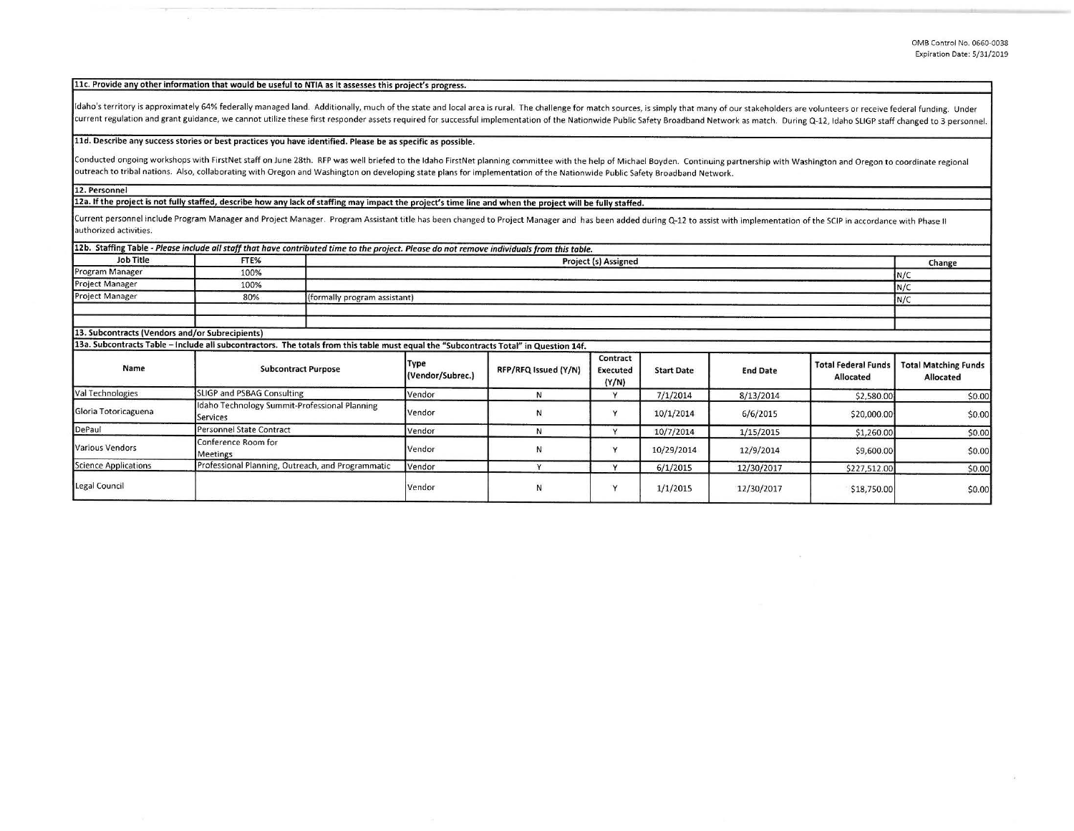**llc. Provide any other information that would be useful to NTIA as it assesses this project's progress.** 

Idaho's territory is approximately 64% federally managed land. Additionally, much of the state and local area is rural. The challenge for match sources, is simply that many of our stakeholders are volunteers or receive fed current regulation and grant guidance, we cannot utilize these first responder assets required for successful implementation of the Nationwide Public Safety Broadband Network as match. During Q-12, Idaho SLIGP staff change

## **lld. Describe any success stories or best practices you have identified. Please be as specific as possible.**

Conducted ongoing workshops with FirstNet staff on June 28th. RFP was well briefed to the Idaho FirstNet planning committee with the help of Michael Boyden. Continuing partnership with Washington and Oregon to coordinate r outreach to tribal nations. Also, collaborating with Oregon and Washington on developing state plans for implementation of the Nationwide Public Safety Broadband Network.

**12. Personnel** 

12a. If the project is not fully staffed, describe how any lack of staffing may impact the project's time line and when the project will be fully staffed.

Current personnel include Program Manager and Project Manager. Program Assistant title has been changed to Project Manager and has been added during Q-12 to assist with implementation of the SCIP in accordance with Phase II **authorized activities.** 

|                                                 | 12b. Staffing Table - Please include all staff that have contributed time to the project. Please do not remove individuals from this table. |                                     |                      |                               |                   |                 |                                         |                                          |
|-------------------------------------------------|---------------------------------------------------------------------------------------------------------------------------------------------|-------------------------------------|----------------------|-------------------------------|-------------------|-----------------|-----------------------------------------|------------------------------------------|
| <b>Job Title</b>                                | FTE%                                                                                                                                        | <b>Project (s) Assigned</b>         |                      |                               |                   |                 |                                         |                                          |
| Program Manager                                 | 100%                                                                                                                                        | N/C                                 |                      |                               |                   |                 |                                         |                                          |
| <b>Project Manager</b>                          | 100%                                                                                                                                        |                                     |                      |                               |                   |                 |                                         | N/C                                      |
| <b>Project Manager</b>                          | 80%                                                                                                                                         | (formally program assistant)<br>N/C |                      |                               |                   |                 |                                         |                                          |
|                                                 |                                                                                                                                             |                                     |                      |                               |                   |                 |                                         |                                          |
| 13. Subcontracts (Vendors and/or Subrecipients) |                                                                                                                                             |                                     |                      |                               |                   |                 |                                         |                                          |
|                                                 | 13a. Subcontracts Table - Include all subcontractors. The totals from this table must equal the "Subcontracts Total" in Question 14f.       |                                     |                      |                               |                   |                 |                                         |                                          |
| Name                                            | <b>Subcontract Purpose</b>                                                                                                                  | Type<br>(Vendor/Subrec.)            | RFP/RFQ Issued (Y/N) | Contract<br>Executed<br>(Y/N) | <b>Start Date</b> | <b>End Date</b> | <b>Total Federal Funds</b><br>Allocated | <b>Total Matching Funds</b><br>Allocated |
| Val Technologies                                | SLIGP and PSBAG Consulting                                                                                                                  | Vendor                              | N                    | v                             | 7/1/2014          | 8/13/2014       | \$2,580.00                              | \$0.00                                   |
| Gloria Totoricaguena                            | Idaho Technology Summit-Professional Planning<br>Services                                                                                   | Vendor                              | N                    |                               | 10/1/2014         | 6/6/2015        | \$20,000.00                             | \$0.00                                   |
| DePaul                                          | Personnel State Contract                                                                                                                    | Vendor                              | И                    | $\lambda$                     | 10/7/2014         | 1/15/2015       | \$1,260.00                              | \$0.00                                   |
| <b>Various Vendors</b>                          | Conference Room for<br>Meetings                                                                                                             | Vendor                              | N                    |                               | 10/29/2014        | 12/9/2014       | \$9,600.00                              | \$0.00                                   |
| Science Applications                            | Professional Planning, Outreach, and Programmatic                                                                                           | Vendor                              | $\mathbf{v}$         | $\overline{u}$                | 6/1/2015          | 12/30/2017      | \$227,512.00                            | \$0.00                                   |
| Legal Council                                   |                                                                                                                                             | Vendor                              | N                    | $\mathbf{v}$                  | 1/1/2015          | 12/30/2017      | \$18,750.00                             | \$0.00                                   |